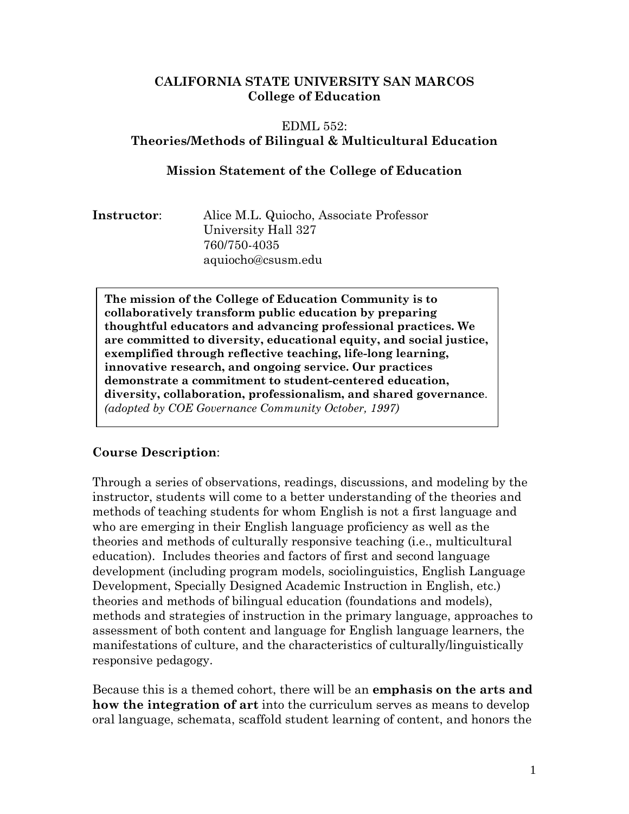#### **CALIFORNIA STATE UNIVERSITY SAN MARCOS College of Education**

# EDML 552: **Theories/Methods of Bilingual & Multicultural Education**

#### **Mission Statement of the College of Education**

| Instructor: |
|-------------|
|-------------|

**Instructor**: Alice M.L. Quiocho, Associate Professor University Hall 327 760/750-4035 aquiocho@csusm.edu

**The mission of the College of Education Community is to collaboratively transform public education by preparing thoughtful educators and advancing professional practices. We are committed to diversity, educational equity, and social justice, exemplified through reflective teaching, life-long learning, innovative research, and ongoing service. Our practices demonstrate a commitment to student-centered education, diversity, collaboration, professionalism, and shared governance**. *(adopted by COE Governance Community October, 1997)*

## **Course Description**:

Through a series of observations, readings, discussions, and modeling by the instructor, students will come to a better understanding of the theories and methods of teaching students for whom English is not a first language and who are emerging in their English language proficiency as well as the theories and methods of culturally responsive teaching (i.e., multicultural education). Includes theories and factors of first and second language development (including program models, sociolinguistics, English Language Development, Specially Designed Academic Instruction in English, etc.) theories and methods of bilingual education (foundations and models), methods and strategies of instruction in the primary language, approaches to assessment of both content and language for English language learners, the manifestations of culture, and the characteristics of culturally/linguistically responsive pedagogy.

Because this is a themed cohort, there will be an **emphasis on the arts and how the integration of art** into the curriculum serves as means to develop oral language, schemata, scaffold student learning of content, and honors the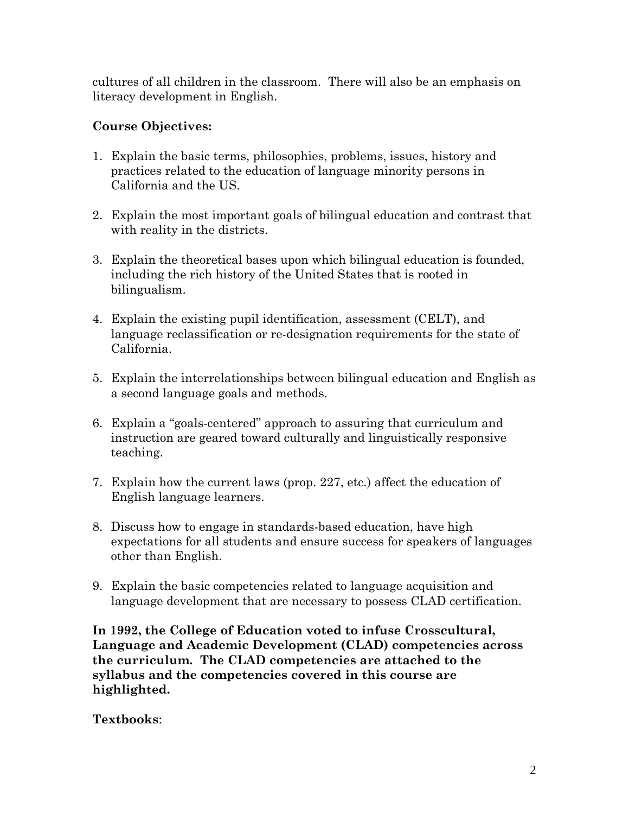cultures of all children in the classroom. There will also be an emphasis on literacy development in English.

# **Course Objectives:**

- 1. Explain the basic terms, philosophies, problems, issues, history and practices related to the education of language minority persons in California and the US.
- 2. Explain the most important goals of bilingual education and contrast that with reality in the districts.
- 3. Explain the theoretical bases upon which bilingual education is founded, including the rich history of the United States that is rooted in bilingualism.
- 4. Explain the existing pupil identification, assessment (CELT), and language reclassification or re-designation requirements for the state of California.
- 5. Explain the interrelationships between bilingual education and English as a second language goals and methods.
- 6. Explain a "goals-centered" approach to assuring that curriculum and instruction are geared toward culturally and linguistically responsive teaching.
- 7. Explain how the current laws (prop. 227, etc.) affect the education of English language learners.
- 8. Discuss how to engage in standards-based education, have high expectations for all students and ensure success for speakers of languages other than English.
- 9. Explain the basic competencies related to language acquisition and language development that are necessary to possess CLAD certification.

**In 1992, the College of Education voted to infuse Crosscultural, Language and Academic Development (CLAD) competencies across the curriculum. The CLAD competencies are attached to the syllabus and the competencies covered in this course are highlighted.**

**Textbooks**: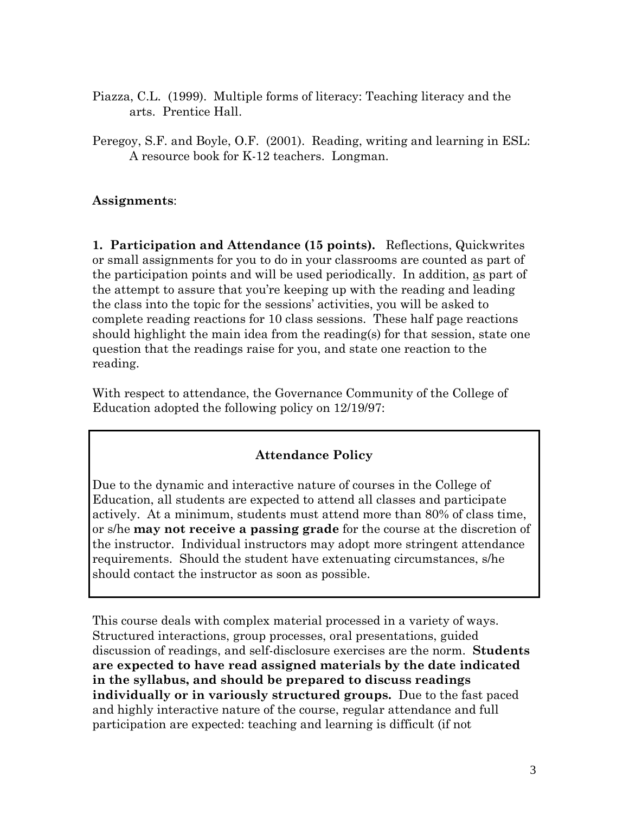- Piazza, C.L. (1999). Multiple forms of literacy: Teaching literacy and the arts. Prentice Hall.
- Peregoy, S.F. and Boyle, O.F. (2001). Reading, writing and learning in ESL: A resource book for K-12 teachers. Longman.

## **Assignments**:

**1. Participation and Attendance (15 points).** Reflections, Quickwrites or small assignments for you to do in your classrooms are counted as part of the participation points and will be used periodically. In addition, as part of the attempt to assure that you're keeping up with the reading and leading the class into the topic for the sessions' activities, you will be asked to complete reading reactions for 10 class sessions. These half page reactions should highlight the main idea from the reading(s) for that session, state one question that the readings raise for you, and state one reaction to the reading.

With respect to attendance, the Governance Community of the College of Education adopted the following policy on 12/19/97:

## **Attendance Policy**

Due to the dynamic and interactive nature of courses in the College of Education, all students are expected to attend all classes and participate actively. At a minimum, students must attend more than 80% of class time, or s/he **may not receive a passing grade** for the course at the discretion of the instructor. Individual instructors may adopt more stringent attendance requirements. Should the student have extenuating circumstances, s/he should contact the instructor as soon as possible.

This course deals with complex material processed in a variety of ways. Structured interactions, group processes, oral presentations, guided discussion of readings, and self-disclosure exercises are the norm. **Students are expected to have read assigned materials by the date indicated in the syllabus, and should be prepared to discuss readings individually or in variously structured groups.** Due to the fast paced and highly interactive nature of the course, regular attendance and full participation are expected: teaching and learning is difficult (if not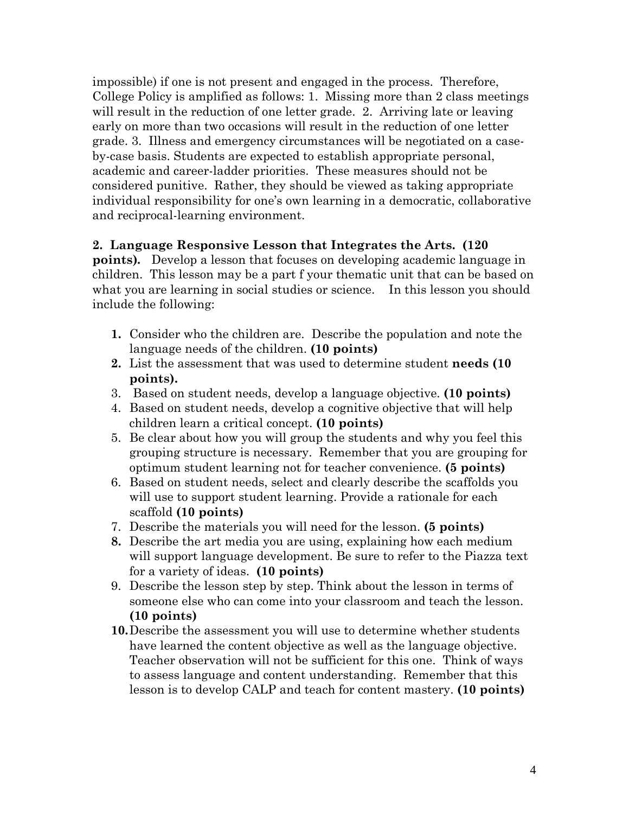impossible) if one is not present and engaged in the process. Therefore, College Policy is amplified as follows: 1. Missing more than 2 class meetings will result in the reduction of one letter grade. 2. Arriving late or leaving early on more than two occasions will result in the reduction of one letter grade. 3. Illness and emergency circumstances will be negotiated on a caseby-case basis. Students are expected to establish appropriate personal, academic and career-ladder priorities. These measures should not be considered punitive. Rather, they should be viewed as taking appropriate individual responsibility for one's own learning in a democratic, collaborative and reciprocal-learning environment.

#### **2. Language Responsive Lesson that Integrates the Arts. (120**

**points)***.* Develop a lesson that focuses on developing academic language in children. This lesson may be a part f your thematic unit that can be based on what you are learning in social studies or science. In this lesson you should include the following:

- **1.** Consider who the children are. Describe the population and note the language needs of the children. **(10 points)**
- **2.** List the assessment that was used to determine student **needs (10 points).**
- 3. Based on student needs, develop a language objective. **(10 points)**
- 4. Based on student needs, develop a cognitive objective that will help children learn a critical concept. **(10 points)**
- 5. Be clear about how you will group the students and why you feel this grouping structure is necessary. Remember that you are grouping for optimum student learning not for teacher convenience. **(5 points)**
- 6. Based on student needs, select and clearly describe the scaffolds you will use to support student learning. Provide a rationale for each scaffold **(10 points)**
- 7. Describe the materials you will need for the lesson. **(5 points)**
- **8.** Describe the art media you are using, explaining how each medium will support language development. Be sure to refer to the Piazza text for a variety of ideas. **(10 points)**
- 9. Describe the lesson step by step. Think about the lesson in terms of someone else who can come into your classroom and teach the lesson. **(10 points)**
- **10.**Describe the assessment you will use to determine whether students have learned the content objective as well as the language objective. Teacher observation will not be sufficient for this one. Think of ways to assess language and content understanding. Remember that this lesson is to develop CALP and teach for content mastery. **(10 points)**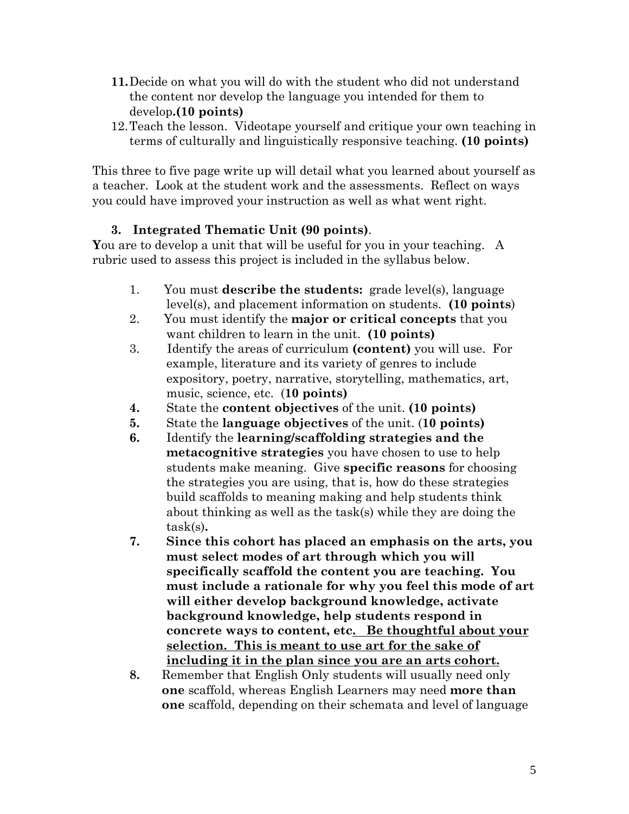- **11.**Decide on what you will do with the student who did not understand the content nor develop the language you intended for them to develop**.(10 points)**
- 12.Teach the lesson. Videotape yourself and critique your own teaching in terms of culturally and linguistically responsive teaching. **(10 points)**

This three to five page write up will detail what you learned about yourself as a teacher. Look at the student work and the assessments. Reflect on ways you could have improved your instruction as well as what went right.

## **3. Integrated Thematic Unit (90 points)**.

**Y**ou are to develop a unit that will be useful for you in your teaching. A rubric used to assess this project is included in the syllabus below.

- 1. You must **describe the students:** grade level(s), language level(s), and placement information on students. **(10 points**)
- 2. You must identify the **major or critical concepts** that you want children to learn in the unit. **(10 points)**
- 3. Identify the areas of curriculum **(content)** you will use. For example, literature and its variety of genres to include expository, poetry, narrative, storytelling, mathematics, art, music, science, etc. (**10 points)**
- **4.** State the **content objectives** of the unit. **(10 points)**
- **5.** State the **language objectives** of the unit. (**10 points)**
- **6.** Identify the **learning/scaffolding strategies and the metacognitive strategies** you have chosen to use to help students make meaning. Give **specific reasons** for choosing the strategies you are using, that is, how do these strategies build scaffolds to meaning making and help students think about thinking as well as the task(s) while they are doing the task(s)**.**
- **7. Since this cohort has placed an emphasis on the arts, you must select modes of art through which you will specifically scaffold the content you are teaching. You must include a rationale for why you feel this mode of art will either develop background knowledge, activate background knowledge, help students respond in concrete ways to content, etc. Be thoughtful about your selection. This is meant to use art for the sake of including it in the plan since you are an arts cohort.**
- **8.** Remember that English Only students will usually need only **one** scaffold, whereas English Learners may need **more than one** scaffold, depending on their schemata and level of language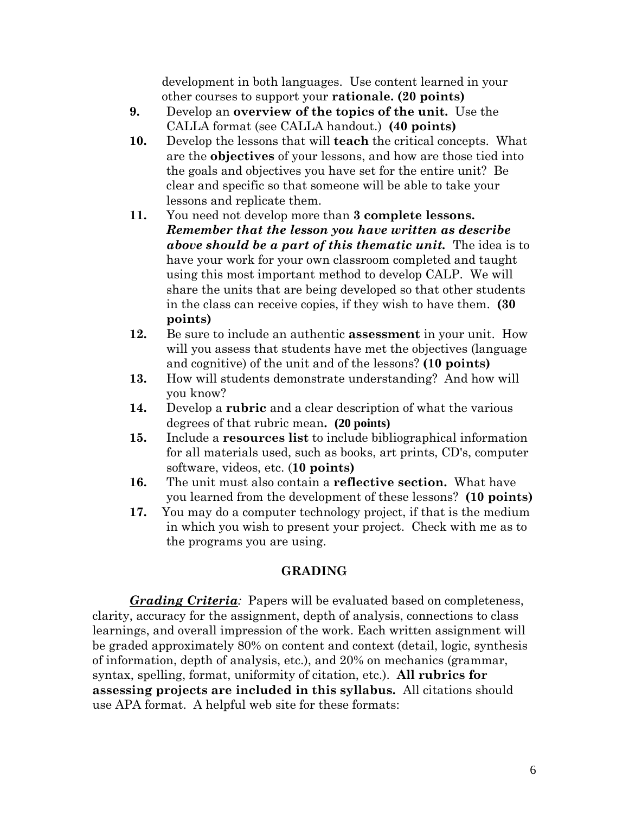development in both languages. Use content learned in your other courses to support your **rationale. (20 points)**

- **9.** Develop an **overview of the topics of the unit.** Use the CALLA format (see CALLA handout.) **(40 points)**
- **10.** Develop the lessons that will **teach** the critical concepts. What are the **objectives** of your lessons, and how are those tied into the goals and objectives you have set for the entire unit? Be clear and specific so that someone will be able to take your lessons and replicate them.
- **11.** You need not develop more than **3 complete lessons.** *Remember that the lesson you have written as describe above should be a part of this thematic unit.* The idea is to have your work for your own classroom completed and taught using this most important method to develop CALP. We will share the units that are being developed so that other students in the class can receive copies, if they wish to have them. **(30 points)**
- **12.** Be sure to include an authentic **assessment** in your unit. How will you assess that students have met the objectives (language and cognitive) of the unit and of the lessons? **(10 points)**
- **13.** How will students demonstrate understanding? And how will you know?
- **14.** Develop a **rubric** and a clear description of what the various degrees of that rubric mean**. (20 points)**
- **15.** Include a **resources list** to include bibliographical information for all materials used, such as books, art prints, CD's, computer software, videos, etc. (**10 points)**
- **16.** The unit must also contain a **reflective section.** What have you learned from the development of these lessons? **(10 points)**
- **17.** You may do a computer technology project, if that is the medium in which you wish to present your project. Check with me as to the programs you are using.

## **GRADING**

*Grading Criteria:* Papers will be evaluated based on completeness, clarity, accuracy for the assignment, depth of analysis, connections to class learnings, and overall impression of the work. Each written assignment will be graded approximately 80% on content and context (detail, logic, synthesis of information, depth of analysis, etc.), and 20% on mechanics (grammar, syntax, spelling, format, uniformity of citation, etc.). **All rubrics for assessing projects are included in this syllabus.** All citations should use APA format. A helpful web site for these formats: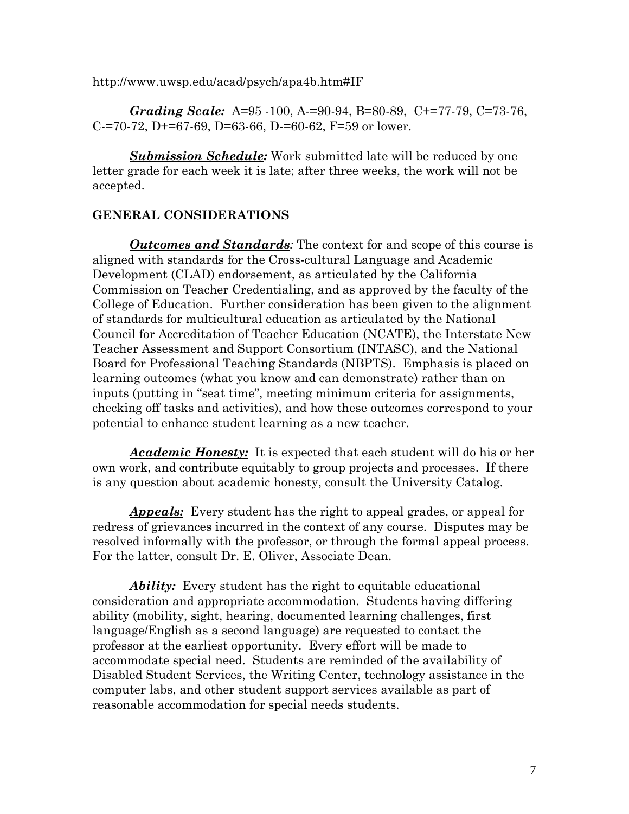http://www.uwsp.edu/acad/psych/apa4b.htm#IF

*Grading Scale:* A=95 -100, A-=90-94, B=80-89, C+=77-79, C=73-76, C-=70-72, D+=67-69, D=63-66, D-=60-62, F=59 or lower.

*Submission Schedule:* Work submitted late will be reduced by one letter grade for each week it is late; after three weeks, the work will not be accepted.

#### **GENERAL CONSIDERATIONS**

*Outcomes and Standards:* The context for and scope of this course is aligned with standards for the Cross-cultural Language and Academic Development (CLAD) endorsement, as articulated by the California Commission on Teacher Credentialing, and as approved by the faculty of the College of Education. Further consideration has been given to the alignment of standards for multicultural education as articulated by the National Council for Accreditation of Teacher Education (NCATE), the Interstate New Teacher Assessment and Support Consortium (INTASC), and the National Board for Professional Teaching Standards (NBPTS). Emphasis is placed on learning outcomes (what you know and can demonstrate) rather than on inputs (putting in "seat time", meeting minimum criteria for assignments, checking off tasks and activities), and how these outcomes correspond to your potential to enhance student learning as a new teacher.

*Academic Honesty:* It is expected that each student will do his or her own work, and contribute equitably to group projects and processes. If there is any question about academic honesty, consult the University Catalog.

*Appeals:* Every student has the right to appeal grades, or appeal for redress of grievances incurred in the context of any course. Disputes may be resolved informally with the professor, or through the formal appeal process. For the latter, consult Dr. E. Oliver, Associate Dean.

*Ability:* Every student has the right to equitable educational consideration and appropriate accommodation. Students having differing ability (mobility, sight, hearing, documented learning challenges, first language/English as a second language) are requested to contact the professor at the earliest opportunity. Every effort will be made to accommodate special need. Students are reminded of the availability of Disabled Student Services, the Writing Center, technology assistance in the computer labs, and other student support services available as part of reasonable accommodation for special needs students.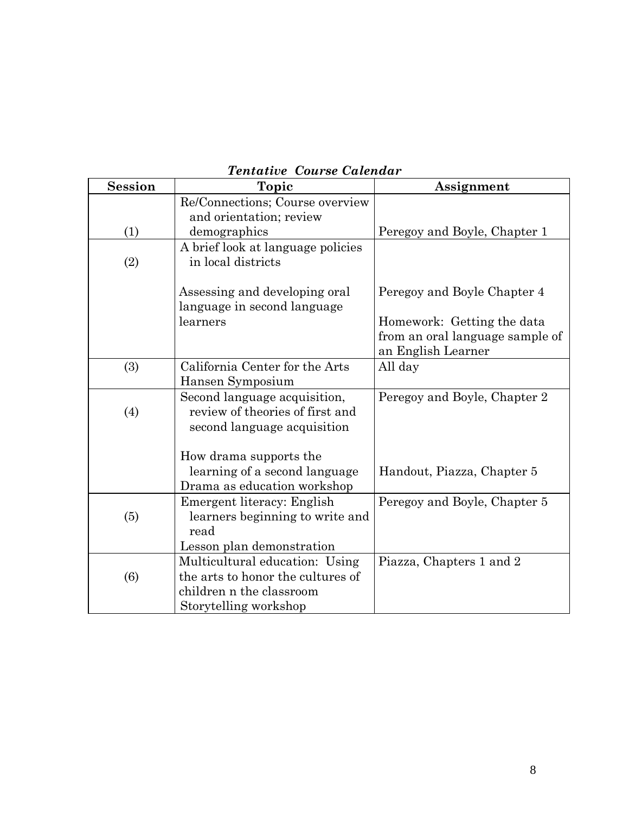| <b>Session</b> | Topic                                                         | Assignment                      |
|----------------|---------------------------------------------------------------|---------------------------------|
|                | Re/Connections; Course overview                               |                                 |
|                | and orientation; review                                       |                                 |
| (1)            | demographics                                                  | Peregoy and Boyle, Chapter 1    |
|                | A brief look at language policies                             |                                 |
| (2)            | in local districts                                            |                                 |
|                |                                                               |                                 |
|                | Assessing and developing oral                                 | Peregoy and Boyle Chapter 4     |
|                | language in second language                                   |                                 |
|                | learners                                                      | Homework: Getting the data      |
|                |                                                               | from an oral language sample of |
|                |                                                               | an English Learner              |
| (3)            | California Center for the Arts                                | All day                         |
|                | Hansen Symposium                                              |                                 |
|                | Second language acquisition,                                  | Peregoy and Boyle, Chapter 2    |
| (4)            | review of theories of first and                               |                                 |
|                | second language acquisition                                   |                                 |
|                |                                                               |                                 |
|                | How drama supports the                                        |                                 |
|                | learning of a second language<br>Drama as education workshop  | Handout, Piazza, Chapter 5      |
|                |                                                               | Peregoy and Boyle, Chapter 5    |
| (5)            | Emergent literacy: English<br>learners beginning to write and |                                 |
|                | read                                                          |                                 |
|                | Lesson plan demonstration                                     |                                 |
|                | Multicultural education: Using                                | Piazza, Chapters 1 and 2        |
| (6)            | the arts to honor the cultures of                             |                                 |
|                | children n the classroom                                      |                                 |
|                | Storytelling workshop                                         |                                 |

# *Tentative Course Calendar*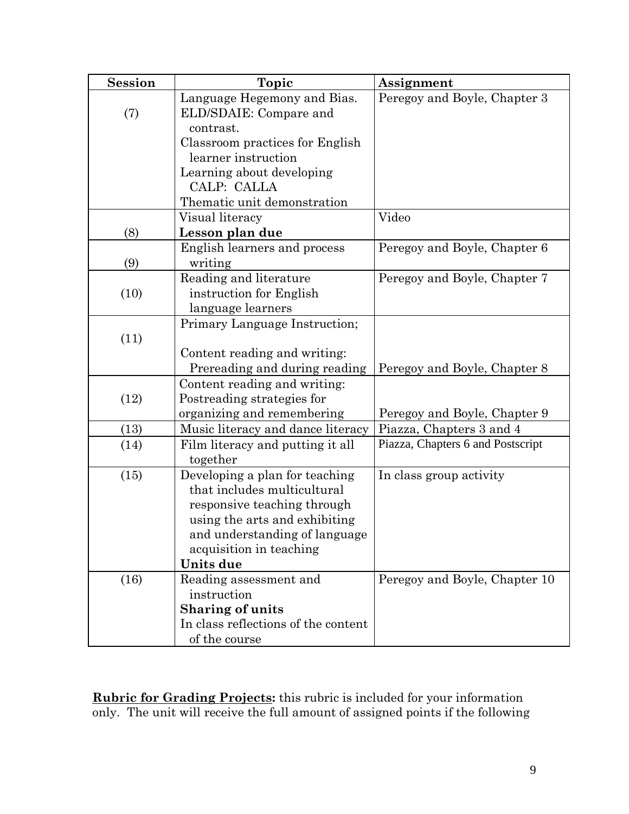| <b>Session</b> | Topic                                                              | Assignment                        |
|----------------|--------------------------------------------------------------------|-----------------------------------|
| (7)            | Language Hegemony and Bias.<br>ELD/SDAIE: Compare and<br>contrast. | Peregoy and Boyle, Chapter 3      |
|                | Classroom practices for English                                    |                                   |
|                | learner instruction                                                |                                   |
|                | Learning about developing                                          |                                   |
|                | CALP: CALLA                                                        |                                   |
|                | Thematic unit demonstration                                        |                                   |
|                | Visual literacy                                                    | Video                             |
| (8)            | Lesson plan due                                                    |                                   |
|                | English learners and process                                       | Peregoy and Boyle, Chapter 6      |
| (9)            | writing                                                            |                                   |
|                | Reading and literature                                             | Peregoy and Boyle, Chapter 7      |
| (10)           | instruction for English                                            |                                   |
|                | language learners                                                  |                                   |
|                | Primary Language Instruction;                                      |                                   |
| (11)           |                                                                    |                                   |
|                | Content reading and writing:<br>Prereading and during reading      | Peregoy and Boyle, Chapter 8      |
|                | Content reading and writing:                                       |                                   |
| (12)           | Postreading strategies for                                         |                                   |
|                | organizing and remembering                                         | Peregoy and Boyle, Chapter 9      |
| (13)           | Music literacy and dance literacy                                  | Piazza, Chapters 3 and 4          |
| (14)           | Film literacy and putting it all                                   | Piazza, Chapters 6 and Postscript |
|                | together                                                           |                                   |
| (15)           | Developing a plan for teaching                                     | In class group activity           |
|                | that includes multicultural                                        |                                   |
|                | responsive teaching through                                        |                                   |
|                | using the arts and exhibiting                                      |                                   |
|                | and understanding of language                                      |                                   |
|                | acquisition in teaching                                            |                                   |
|                | Units due                                                          |                                   |
| (16)           | Reading assessment and<br>instruction                              | Peregoy and Boyle, Chapter 10     |
|                | <b>Sharing of units</b>                                            |                                   |
|                | In class reflections of the content                                |                                   |
|                | of the course                                                      |                                   |

**Rubric for Grading Projects:** this rubric is included for your information only. The unit will receive the full amount of assigned points if the following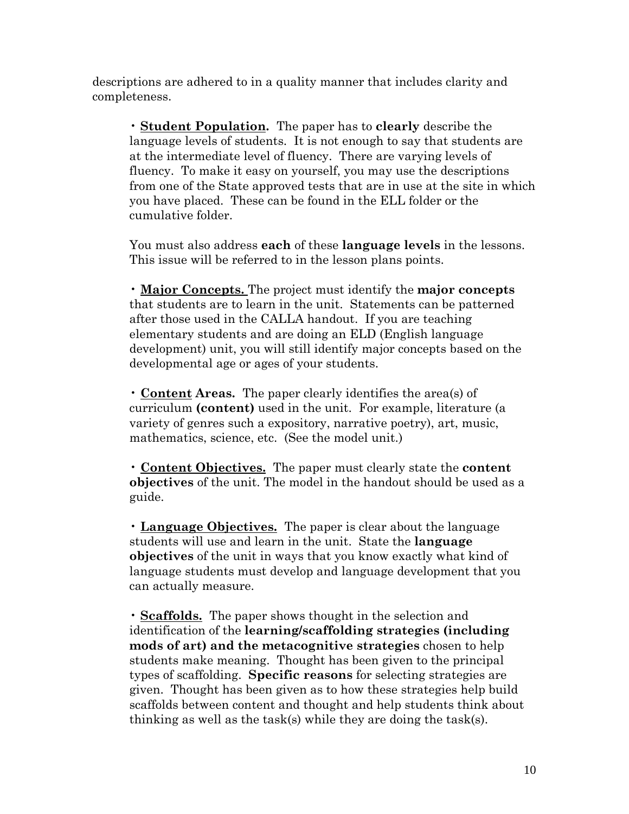descriptions are adhered to in a quality manner that includes clarity and completeness.

• **Student Population.** The paper has to **clearly** describe the language levels of students. It is not enough to say that students are at the intermediate level of fluency. There are varying levels of fluency. To make it easy on yourself, you may use the descriptions from one of the State approved tests that are in use at the site in which you have placed. These can be found in the ELL folder or the cumulative folder.

You must also address **each** of these **language levels** in the lessons. This issue will be referred to in the lesson plans points.

• **Major Concepts.** The project must identify the **major concepts**  that students are to learn in the unit. Statements can be patterned after those used in the CALLA handout. If you are teaching elementary students and are doing an ELD (English language development) unit, you will still identify major concepts based on the developmental age or ages of your students.

• **Content Areas.** The paper clearly identifies the area(s) of curriculum **(content)** used in the unit. For example, literature (a variety of genres such a expository, narrative poetry), art, music, mathematics, science, etc. (See the model unit.)

• **Content Objectives.** The paper must clearly state the **content objectives** of the unit. The model in the handout should be used as a guide.

• **Language Objectives.** The paper is clear about the language students will use and learn in the unit. State the **language objectives** of the unit in ways that you know exactly what kind of language students must develop and language development that you can actually measure.

• **Scaffolds.** The paper shows thought in the selection and identification of the **learning/scaffolding strategies (including mods of art) and the metacognitive strategies** chosen to help students make meaning. Thought has been given to the principal types of scaffolding. **Specific reasons** for selecting strategies are given. Thought has been given as to how these strategies help build scaffolds between content and thought and help students think about thinking as well as the task(s) while they are doing the task(s).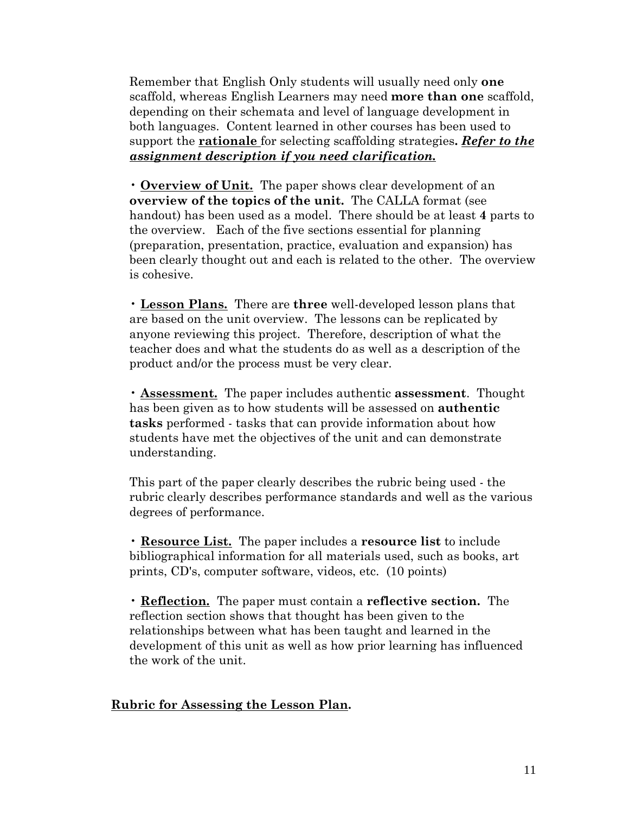Remember that English Only students will usually need only **one** scaffold, whereas English Learners may need **more than one** scaffold, depending on their schemata and level of language development in both languages. Content learned in other courses has been used to support the **rationale** for selecting scaffolding strategies**.** *Refer to the assignment description if you need clarification.*

• **Overview of Unit.** The paper shows clear development of an **overview of the topics of the unit.** The CALLA format (see handout) has been used as a model. There should be at least **4** parts to the overview. Each of the five sections essential for planning (preparation, presentation, practice, evaluation and expansion) has been clearly thought out and each is related to the other. The overview is cohesive.

• **Lesson Plans.** There are **three** well-developed lesson plans that are based on the unit overview. The lessons can be replicated by anyone reviewing this project. Therefore, description of what the teacher does and what the students do as well as a description of the product and/or the process must be very clear.

• **Assessment.** The paper includes authentic **assessment**. Thought has been given as to how students will be assessed on **authentic tasks** performed - tasks that can provide information about how students have met the objectives of the unit and can demonstrate understanding.

This part of the paper clearly describes the rubric being used - the rubric clearly describes performance standards and well as the various degrees of performance.

• **Resource List.** The paper includes a **resource list** to include bibliographical information for all materials used, such as books, art prints, CD's, computer software, videos, etc. (10 points)

• **Reflection.** The paper must contain a **reflective section.** The reflection section shows that thought has been given to the relationships between what has been taught and learned in the development of this unit as well as how prior learning has influenced the work of the unit.

#### **Rubric for Assessing the Lesson Plan.**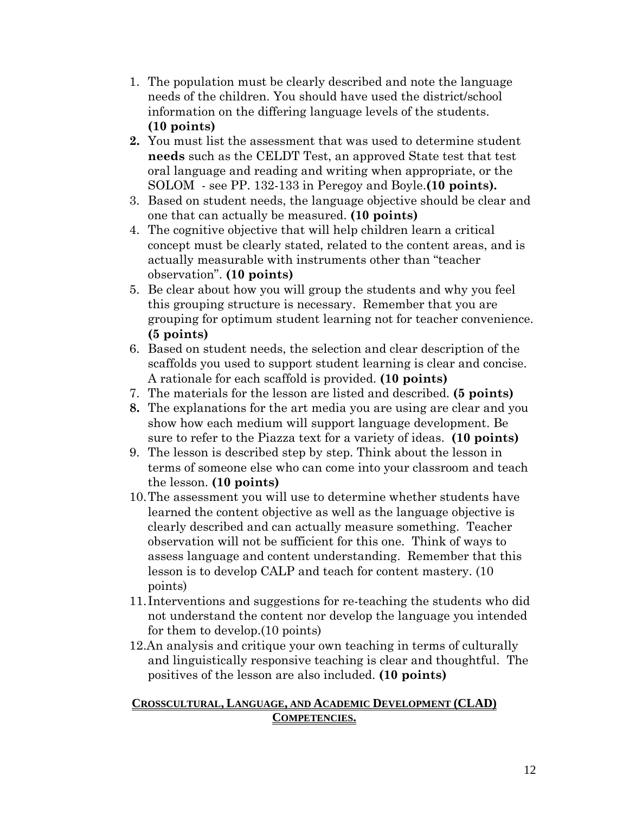- 1. The population must be clearly described and note the language needs of the children. You should have used the district/school information on the differing language levels of the students. **(10 points)**
- **2.** You must list the assessment that was used to determine student **needs** such as the CELDT Test, an approved State test that test oral language and reading and writing when appropriate, or the SOLOM - see PP. 132-133 in Peregoy and Boyle.**(10 points).**
- 3. Based on student needs, the language objective should be clear and one that can actually be measured. **(10 points)**
- 4. The cognitive objective that will help children learn a critical concept must be clearly stated, related to the content areas, and is actually measurable with instruments other than "teacher observation". **(10 points)**
- 5. Be clear about how you will group the students and why you feel this grouping structure is necessary. Remember that you are grouping for optimum student learning not for teacher convenience. **(5 points)**
- 6. Based on student needs, the selection and clear description of the scaffolds you used to support student learning is clear and concise. A rationale for each scaffold is provided. **(10 points)**
- 7. The materials for the lesson are listed and described. **(5 points)**
- **8.** The explanations for the art media you are using are clear and you show how each medium will support language development. Be sure to refer to the Piazza text for a variety of ideas. **(10 points)**
- 9. The lesson is described step by step. Think about the lesson in terms of someone else who can come into your classroom and teach the lesson. **(10 points)**
- 10.The assessment you will use to determine whether students have learned the content objective as well as the language objective is clearly described and can actually measure something. Teacher observation will not be sufficient for this one. Think of ways to assess language and content understanding. Remember that this lesson is to develop CALP and teach for content mastery. (10 points)
- 11. Interventions and suggestions for re-teaching the students who did not understand the content nor develop the language you intended for them to develop.(10 points)
- 12.An analysis and critique your own teaching in terms of culturally and linguistically responsive teaching is clear and thoughtful. The positives of the lesson are also included. **(10 points)**

#### **CROSSCULTURAL, LANGUAGE, AND ACADEMIC DEVELOPMENT (CLAD) COMPETENCIES.**